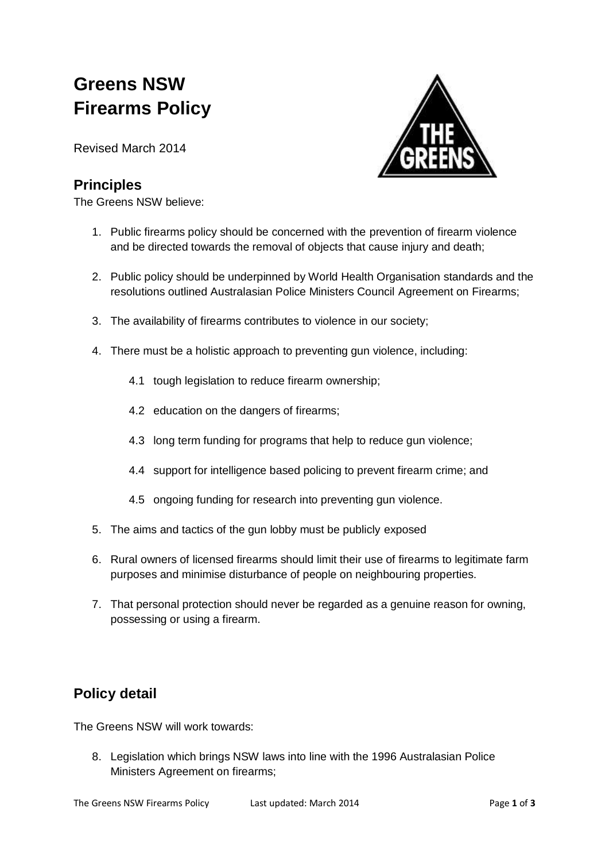## **Greens NSW Firearms Policy**

Revised March 2014

## **Principles**

The Greens NSW believe:



- 1. Public firearms policy should be concerned with the prevention of firearm violence and be directed towards the removal of objects that cause injury and death;
- 2. Public policy should be underpinned by World Health Organisation standards and the resolutions outlined Australasian Police Ministers Council Agreement on Firearms;
- 3. The availability of firearms contributes to violence in our society;
- 4. There must be a holistic approach to preventing gun violence, including:
	- 4.1 tough legislation to reduce firearm ownership;
	- 4.2 education on the dangers of firearms;
	- 4.3 long term funding for programs that help to reduce gun violence;
	- 4.4 support for intelligence based policing to prevent firearm crime; and
	- 4.5 ongoing funding for research into preventing gun violence.
- 5. The aims and tactics of the gun lobby must be publicly exposed
- 6. Rural owners of licensed firearms should limit their use of firearms to legitimate farm purposes and minimise disturbance of people on neighbouring properties.
- 7. That personal protection should never be regarded as a genuine reason for owning, possessing or using a firearm.

## **Policy detail**

The Greens NSW will work towards:

8. Legislation which brings NSW laws into line with the 1996 Australasian Police Ministers Agreement on firearms;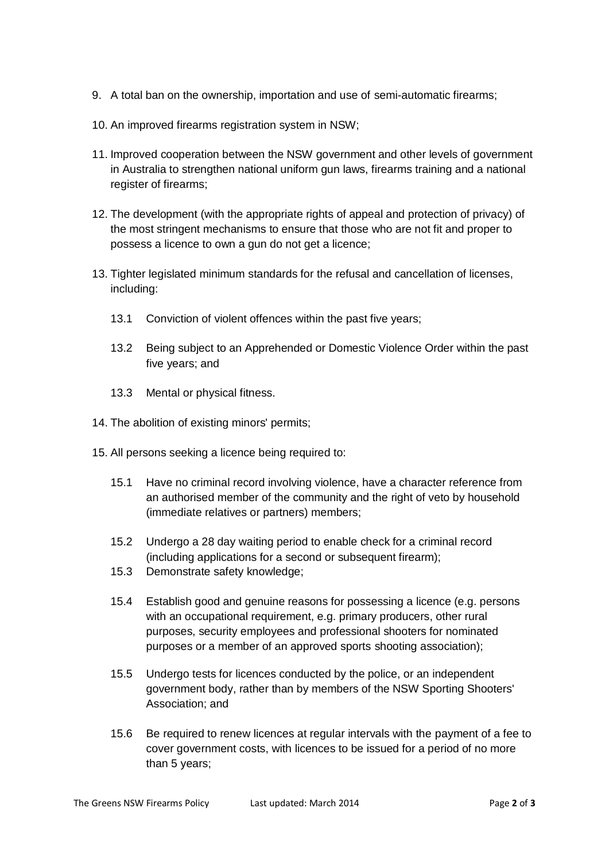- 9. A total ban on the ownership, importation and use of semi-automatic firearms;
- 10. An improved firearms registration system in NSW;
- 11. Improved cooperation between the NSW government and other levels of government in Australia to strengthen national uniform gun laws, firearms training and a national register of firearms;
- 12. The development (with the appropriate rights of appeal and protection of privacy) of the most stringent mechanisms to ensure that those who are not fit and proper to possess a licence to own a gun do not get a licence;
- 13. Tighter legislated minimum standards for the refusal and cancellation of licenses, including:
	- 13.1 Conviction of violent offences within the past five years;
	- 13.2 Being subject to an Apprehended or Domestic Violence Order within the past five years; and
	- 13.3 Mental or physical fitness.
- 14. The abolition of existing minors' permits;
- 15. All persons seeking a licence being required to:
	- 15.1 Have no criminal record involving violence, have a character reference from an authorised member of the community and the right of veto by household (immediate relatives or partners) members;
	- 15.2 Undergo a 28 day waiting period to enable check for a criminal record (including applications for a second or subsequent firearm);
	- 15.3 Demonstrate safety knowledge;
	- 15.4 Establish good and genuine reasons for possessing a licence (e.g. persons with an occupational requirement, e.g. primary producers, other rural purposes, security employees and professional shooters for nominated purposes or a member of an approved sports shooting association);
	- 15.5 Undergo tests for licences conducted by the police, or an independent government body, rather than by members of the NSW Sporting Shooters' Association; and
	- 15.6 Be required to renew licences at regular intervals with the payment of a fee to cover government costs, with licences to be issued for a period of no more than 5 years;